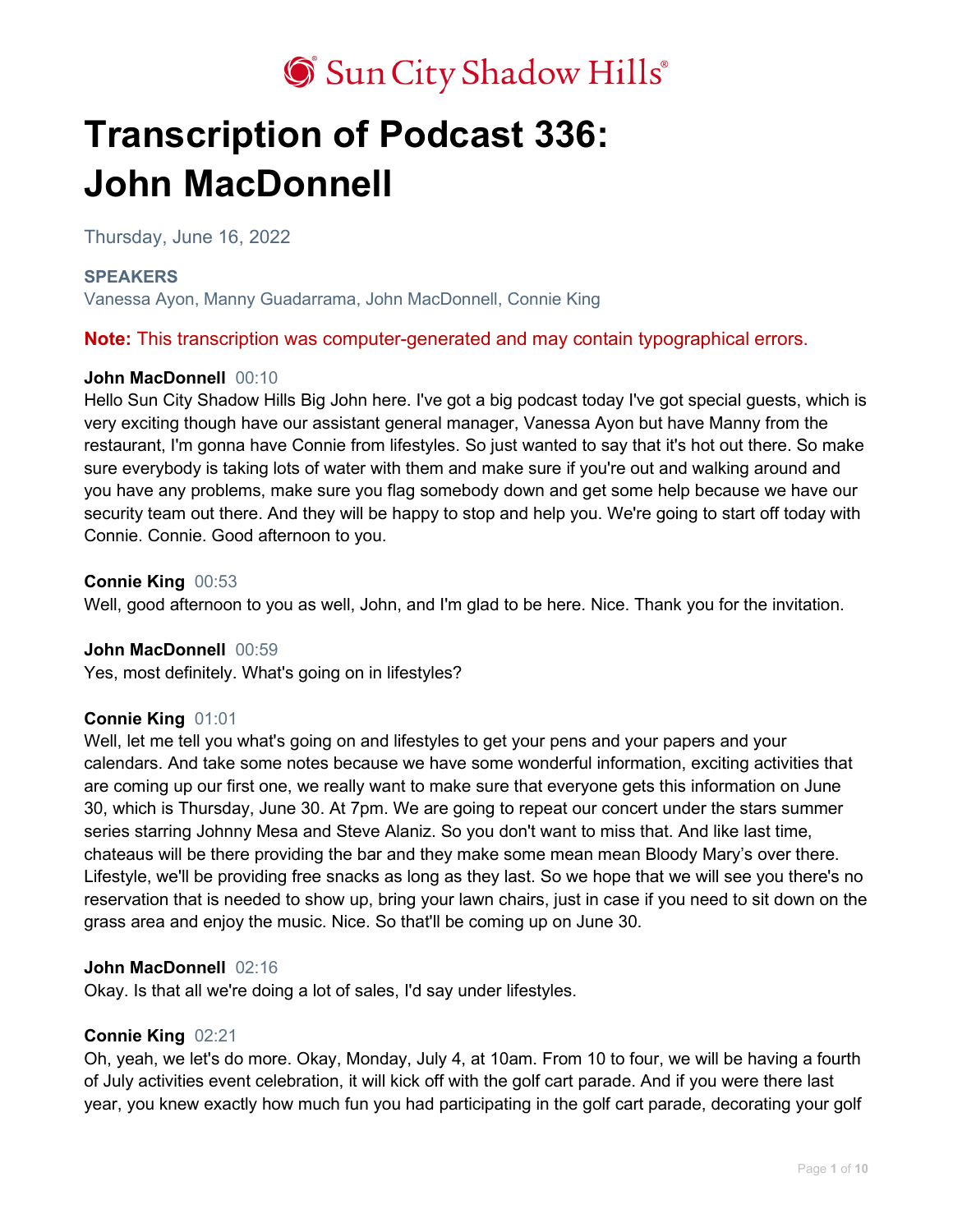# **Transcription of Podcast 336: John MacDonnell**

Thursday, June 16, 2022

# **SPEAKERS**

Vanessa Ayon, Manny Guadarrama, John MacDonnell, Connie King

**Note:** This transcription was computer-generated and may contain typographical errors.

# **John MacDonnell** 00:10

Hello Sun City Shadow Hills Big John here. I've got a big podcast today I've got special guests, which is very exciting though have our assistant general manager, Vanessa Ayon but have Manny from the restaurant, I'm gonna have Connie from lifestyles. So just wanted to say that it's hot out there. So make sure everybody is taking lots of water with them and make sure if you're out and walking around and you have any problems, make sure you flag somebody down and get some help because we have our security team out there. And they will be happy to stop and help you. We're going to start off today with Connie. Connie. Good afternoon to you.

## **Connie King** 00:53

Well, good afternoon to you as well, John, and I'm glad to be here. Nice. Thank you for the invitation.

### **John MacDonnell** 00:59

Yes, most definitely. What's going on in lifestyles?

# **Connie King** 01:01

Well, let me tell you what's going on and lifestyles to get your pens and your papers and your calendars. And take some notes because we have some wonderful information, exciting activities that are coming up our first one, we really want to make sure that everyone gets this information on June 30, which is Thursday, June 30. At 7pm. We are going to repeat our concert under the stars summer series starring Johnny Mesa and Steve Alaniz. So you don't want to miss that. And like last time, chateaus will be there providing the bar and they make some mean mean Bloody Mary's over there. Lifestyle, we'll be providing free snacks as long as they last. So we hope that we will see you there's no reservation that is needed to show up, bring your lawn chairs, just in case if you need to sit down on the grass area and enjoy the music. Nice. So that'll be coming up on June 30.

### **John MacDonnell** 02:16

Okay. Is that all we're doing a lot of sales, I'd say under lifestyles.

# **Connie King** 02:21

Oh, yeah, we let's do more. Okay, Monday, July 4, at 10am. From 10 to four, we will be having a fourth of July activities event celebration, it will kick off with the golf cart parade. And if you were there last year, you knew exactly how much fun you had participating in the golf cart parade, decorating your golf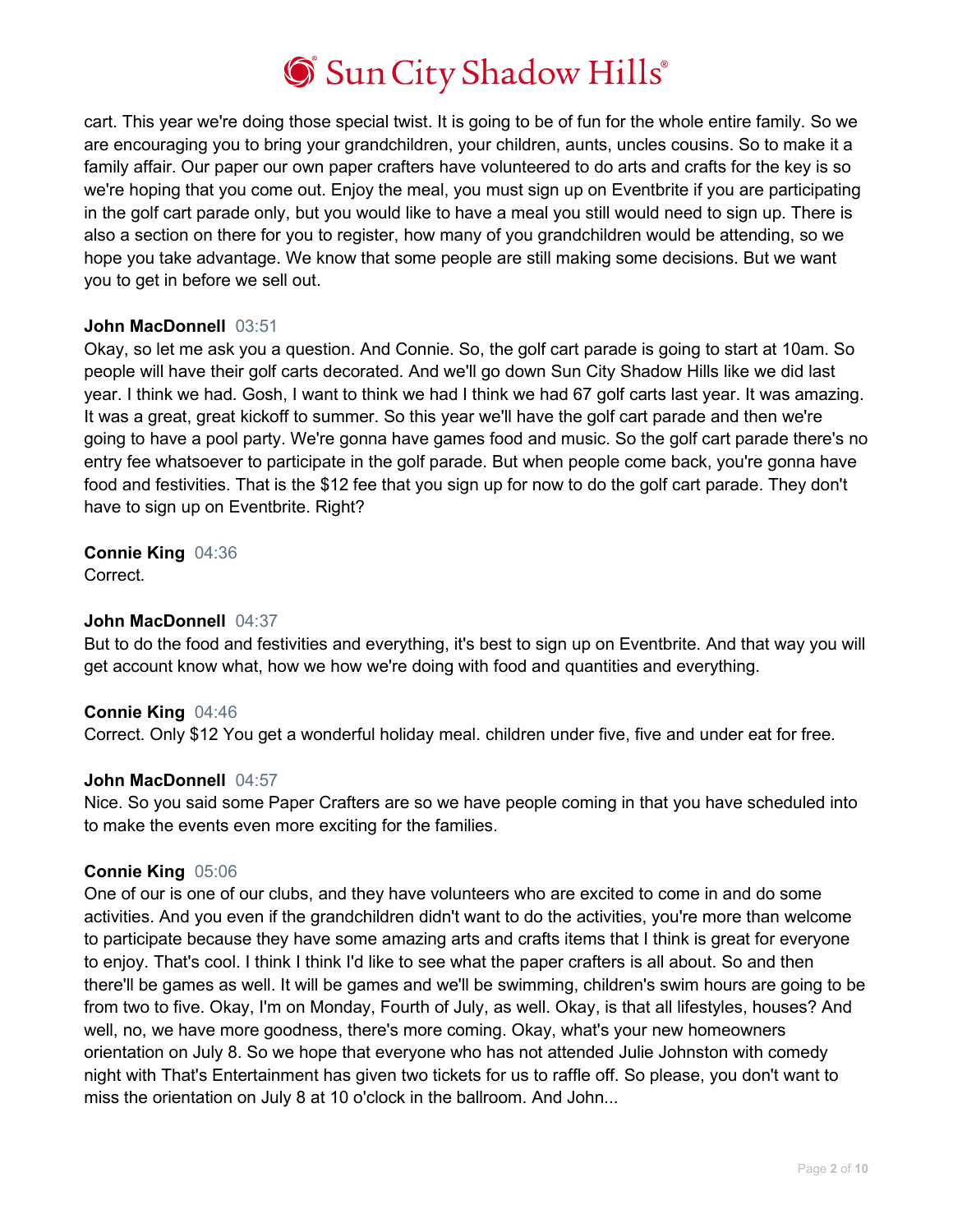

cart. This year we're doing those special twist. It is going to be of fun for the whole entire family. So we are encouraging you to bring your grandchildren, your children, aunts, uncles cousins. So to make it a family affair. Our paper our own paper crafters have volunteered to do arts and crafts for the key is so we're hoping that you come out. Enjoy the meal, you must sign up on Eventbrite if you are participating in the golf cart parade only, but you would like to have a meal you still would need to sign up. There is also a section on there for you to register, how many of you grandchildren would be attending, so we hope you take advantage. We know that some people are still making some decisions. But we want you to get in before we sell out.

### **John MacDonnell** 03:51

Okay, so let me ask you a question. And Connie. So, the golf cart parade is going to start at 10am. So people will have their golf carts decorated. And we'll go down Sun City Shadow Hills like we did last year. I think we had. Gosh, I want to think we had I think we had 67 golf carts last year. It was amazing. It was a great, great kickoff to summer. So this year we'll have the golf cart parade and then we're going to have a pool party. We're gonna have games food and music. So the golf cart parade there's no entry fee whatsoever to participate in the golf parade. But when people come back, you're gonna have food and festivities. That is the \$12 fee that you sign up for now to do the golf cart parade. They don't have to sign up on Eventbrite. Right?

**Connie King** 04:36

Correct.

### **John MacDonnell** 04:37

But to do the food and festivities and everything, it's best to sign up on Eventbrite. And that way you will get account know what, how we how we're doing with food and quantities and everything.

#### **Connie King** 04:46

Correct. Only \$12 You get a wonderful holiday meal. children under five, five and under eat for free.

#### **John MacDonnell** 04:57

Nice. So you said some Paper Crafters are so we have people coming in that you have scheduled into to make the events even more exciting for the families.

### **Connie King** 05:06

One of our is one of our clubs, and they have volunteers who are excited to come in and do some activities. And you even if the grandchildren didn't want to do the activities, you're more than welcome to participate because they have some amazing arts and crafts items that I think is great for everyone to enjoy. That's cool. I think I think I'd like to see what the paper crafters is all about. So and then there'll be games as well. It will be games and we'll be swimming, children's swim hours are going to be from two to five. Okay, I'm on Monday, Fourth of July, as well. Okay, is that all lifestyles, houses? And well, no, we have more goodness, there's more coming. Okay, what's your new homeowners orientation on July 8. So we hope that everyone who has not attended Julie Johnston with comedy night with That's Entertainment has given two tickets for us to raffle off. So please, you don't want to miss the orientation on July 8 at 10 o'clock in the ballroom. And John...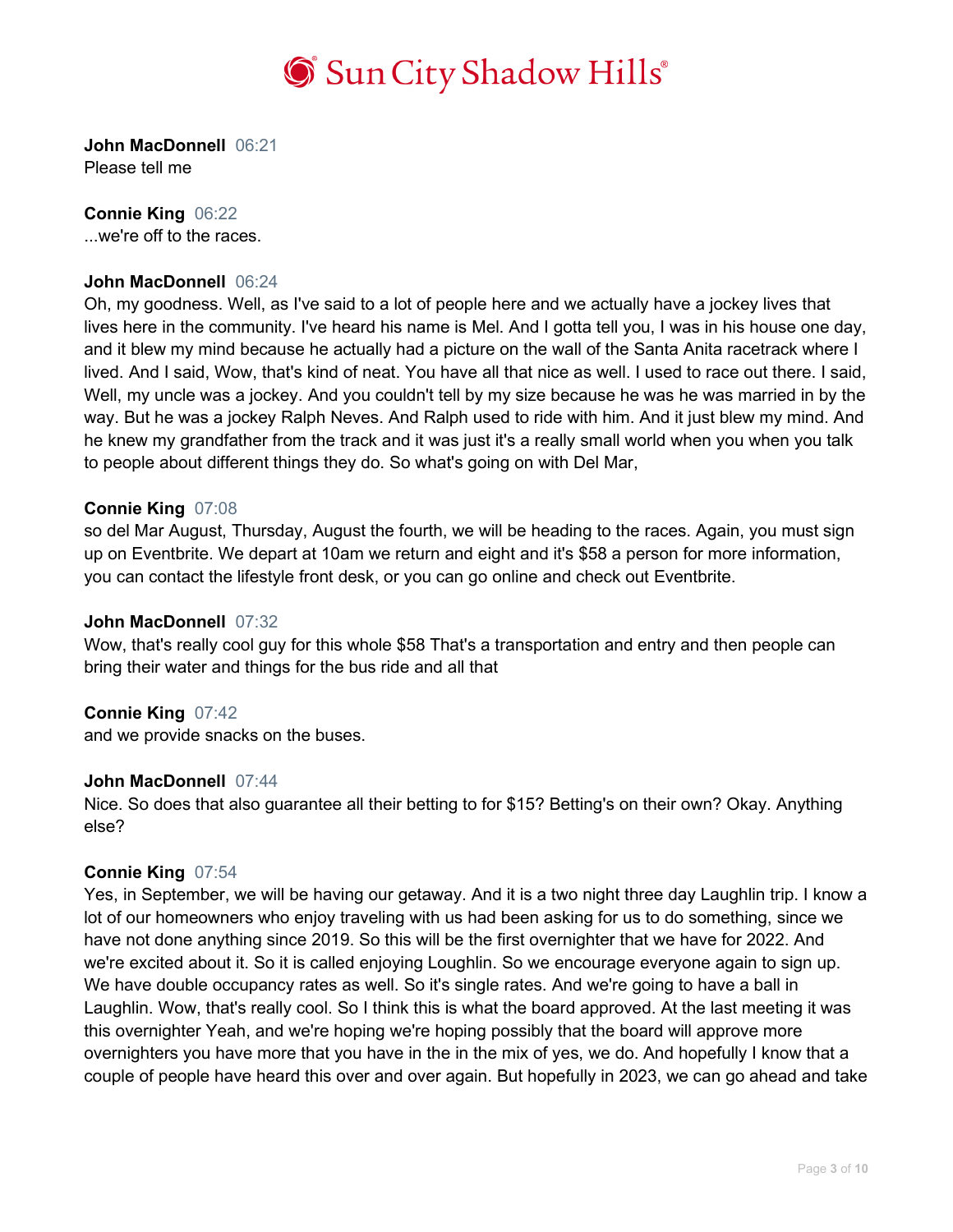

**John MacDonnell** 06:21 Please tell me

**Connie King** 06:22

...we're off to the races.

# **John MacDonnell** 06:24

Oh, my goodness. Well, as I've said to a lot of people here and we actually have a jockey lives that lives here in the community. I've heard his name is Mel. And I gotta tell you, I was in his house one day, and it blew my mind because he actually had a picture on the wall of the Santa Anita racetrack where I lived. And I said, Wow, that's kind of neat. You have all that nice as well. I used to race out there. I said, Well, my uncle was a jockey. And you couldn't tell by my size because he was he was married in by the way. But he was a jockey Ralph Neves. And Ralph used to ride with him. And it just blew my mind. And he knew my grandfather from the track and it was just it's a really small world when you when you talk to people about different things they do. So what's going on with Del Mar,

### **Connie King** 07:08

so del Mar August, Thursday, August the fourth, we will be heading to the races. Again, you must sign up on Eventbrite. We depart at 10am we return and eight and it's \$58 a person for more information, you can contact the lifestyle front desk, or you can go online and check out Eventbrite.

### **John MacDonnell** 07:32

Wow, that's really cool guy for this whole \$58 That's a transportation and entry and then people can bring their water and things for the bus ride and all that

### **Connie King** 07:42

and we provide snacks on the buses.

### **John MacDonnell** 07:44

Nice. So does that also guarantee all their betting to for \$15? Betting's on their own? Okay. Anything else?

### **Connie King** 07:54

Yes, in September, we will be having our getaway. And it is a two night three day Laughlin trip. I know a lot of our homeowners who enjoy traveling with us had been asking for us to do something, since we have not done anything since 2019. So this will be the first overnighter that we have for 2022. And we're excited about it. So it is called enjoying Loughlin. So we encourage everyone again to sign up. We have double occupancy rates as well. So it's single rates. And we're going to have a ball in Laughlin. Wow, that's really cool. So I think this is what the board approved. At the last meeting it was this overnighter Yeah, and we're hoping we're hoping possibly that the board will approve more overnighters you have more that you have in the in the mix of yes, we do. And hopefully I know that a couple of people have heard this over and over again. But hopefully in 2023, we can go ahead and take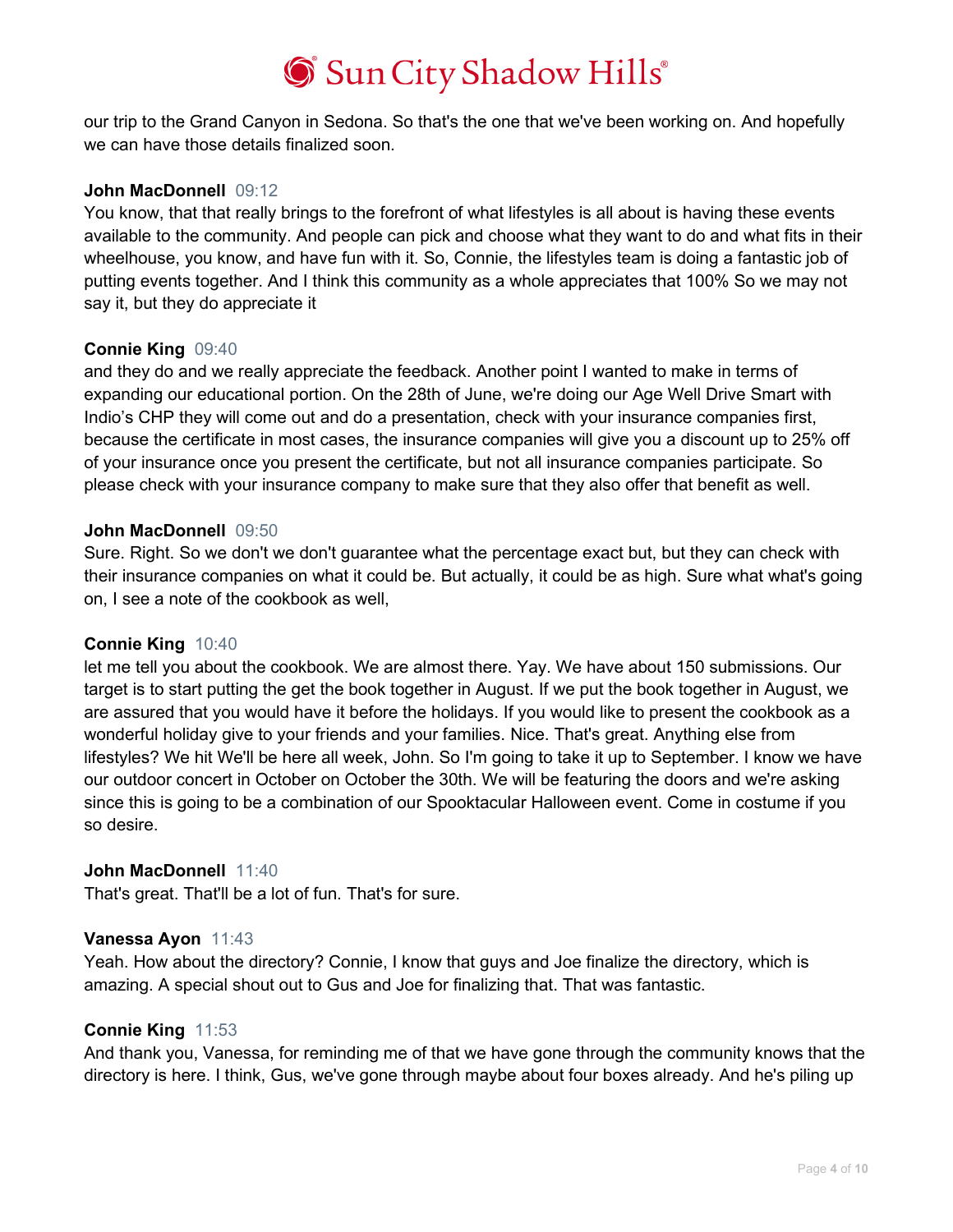our trip to the Grand Canyon in Sedona. So that's the one that we've been working on. And hopefully we can have those details finalized soon.

## **John MacDonnell** 09:12

You know, that that really brings to the forefront of what lifestyles is all about is having these events available to the community. And people can pick and choose what they want to do and what fits in their wheelhouse, you know, and have fun with it. So, Connie, the lifestyles team is doing a fantastic job of putting events together. And I think this community as a whole appreciates that 100% So we may not say it, but they do appreciate it

## **Connie King** 09:40

and they do and we really appreciate the feedback. Another point I wanted to make in terms of expanding our educational portion. On the 28th of June, we're doing our Age Well Drive Smart with Indio's CHP they will come out and do a presentation, check with your insurance companies first, because the certificate in most cases, the insurance companies will give you a discount up to 25% off of your insurance once you present the certificate, but not all insurance companies participate. So please check with your insurance company to make sure that they also offer that benefit as well.

### **John MacDonnell** 09:50

Sure. Right. So we don't we don't guarantee what the percentage exact but, but they can check with their insurance companies on what it could be. But actually, it could be as high. Sure what what's going on, I see a note of the cookbook as well,

### **Connie King** 10:40

let me tell you about the cookbook. We are almost there. Yay. We have about 150 submissions. Our target is to start putting the get the book together in August. If we put the book together in August, we are assured that you would have it before the holidays. If you would like to present the cookbook as a wonderful holiday give to your friends and your families. Nice. That's great. Anything else from lifestyles? We hit We'll be here all week, John. So I'm going to take it up to September. I know we have our outdoor concert in October on October the 30th. We will be featuring the doors and we're asking since this is going to be a combination of our Spooktacular Halloween event. Come in costume if you so desire.

# **John MacDonnell** 11:40

That's great. That'll be a lot of fun. That's for sure.

### **Vanessa Ayon** 11:43

Yeah. How about the directory? Connie, I know that guys and Joe finalize the directory, which is amazing. A special shout out to Gus and Joe for finalizing that. That was fantastic.

### **Connie King** 11:53

And thank you, Vanessa, for reminding me of that we have gone through the community knows that the directory is here. I think, Gus, we've gone through maybe about four boxes already. And he's piling up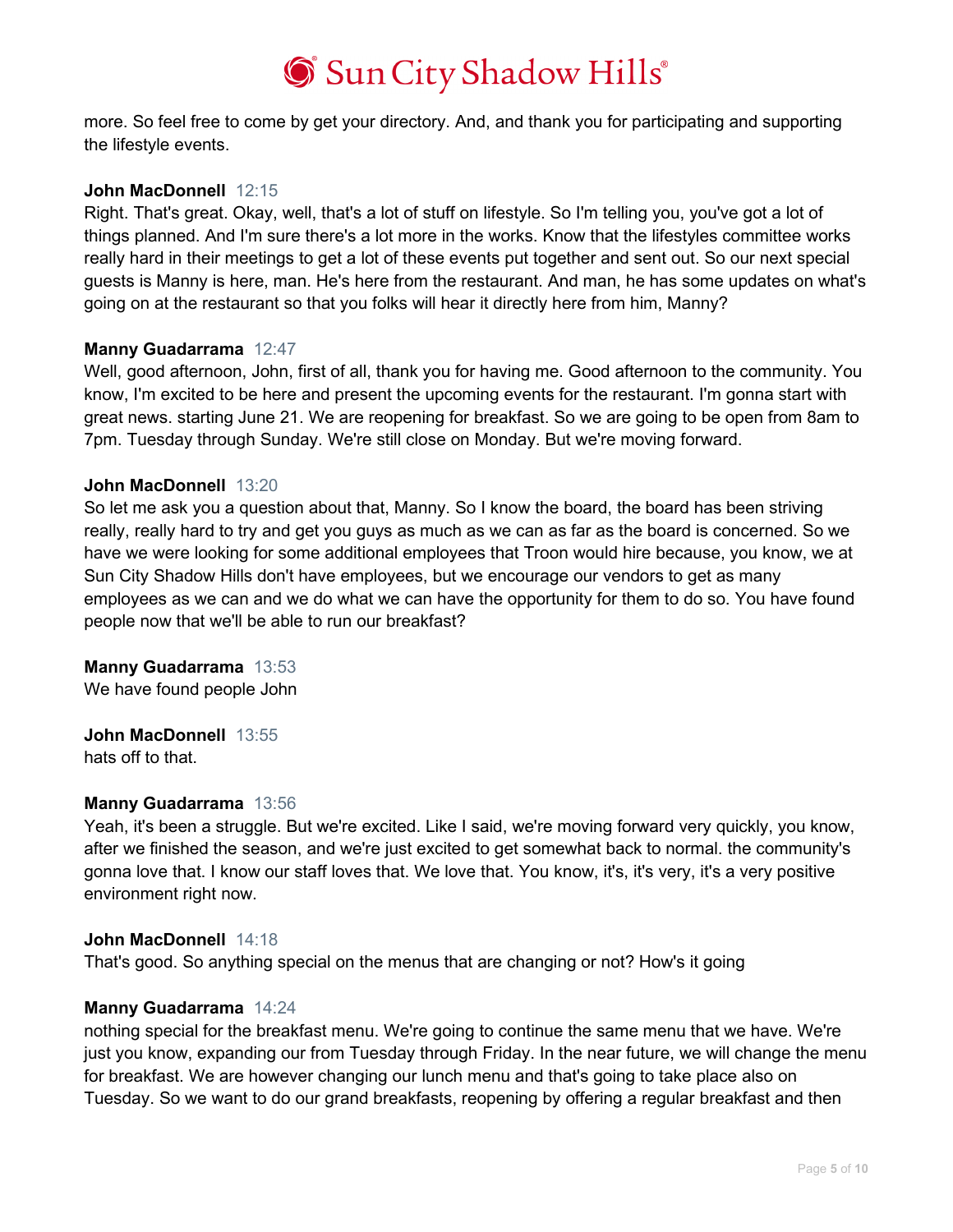more. So feel free to come by get your directory. And, and thank you for participating and supporting the lifestyle events.

## **John MacDonnell** 12:15

Right. That's great. Okay, well, that's a lot of stuff on lifestyle. So I'm telling you, you've got a lot of things planned. And I'm sure there's a lot more in the works. Know that the lifestyles committee works really hard in their meetings to get a lot of these events put together and sent out. So our next special guests is Manny is here, man. He's here from the restaurant. And man, he has some updates on what's going on at the restaurant so that you folks will hear it directly here from him, Manny?

### **Manny Guadarrama** 12:47

Well, good afternoon, John, first of all, thank you for having me. Good afternoon to the community. You know, I'm excited to be here and present the upcoming events for the restaurant. I'm gonna start with great news. starting June 21. We are reopening for breakfast. So we are going to be open from 8am to 7pm. Tuesday through Sunday. We're still close on Monday. But we're moving forward.

## **John MacDonnell** 13:20

So let me ask you a question about that, Manny. So I know the board, the board has been striving really, really hard to try and get you guys as much as we can as far as the board is concerned. So we have we were looking for some additional employees that Troon would hire because, you know, we at Sun City Shadow Hills don't have employees, but we encourage our vendors to get as many employees as we can and we do what we can have the opportunity for them to do so. You have found people now that we'll be able to run our breakfast?

# **Manny Guadarrama** 13:53

We have found people John

# **John MacDonnell** 13:55

hats off to that.

# **Manny Guadarrama** 13:56

Yeah, it's been a struggle. But we're excited. Like I said, we're moving forward very quickly, you know, after we finished the season, and we're just excited to get somewhat back to normal. the community's gonna love that. I know our staff loves that. We love that. You know, it's, it's very, it's a very positive environment right now.

### **John MacDonnell** 14:18

That's good. So anything special on the menus that are changing or not? How's it going

### **Manny Guadarrama** 14:24

nothing special for the breakfast menu. We're going to continue the same menu that we have. We're just you know, expanding our from Tuesday through Friday. In the near future, we will change the menu for breakfast. We are however changing our lunch menu and that's going to take place also on Tuesday. So we want to do our grand breakfasts, reopening by offering a regular breakfast and then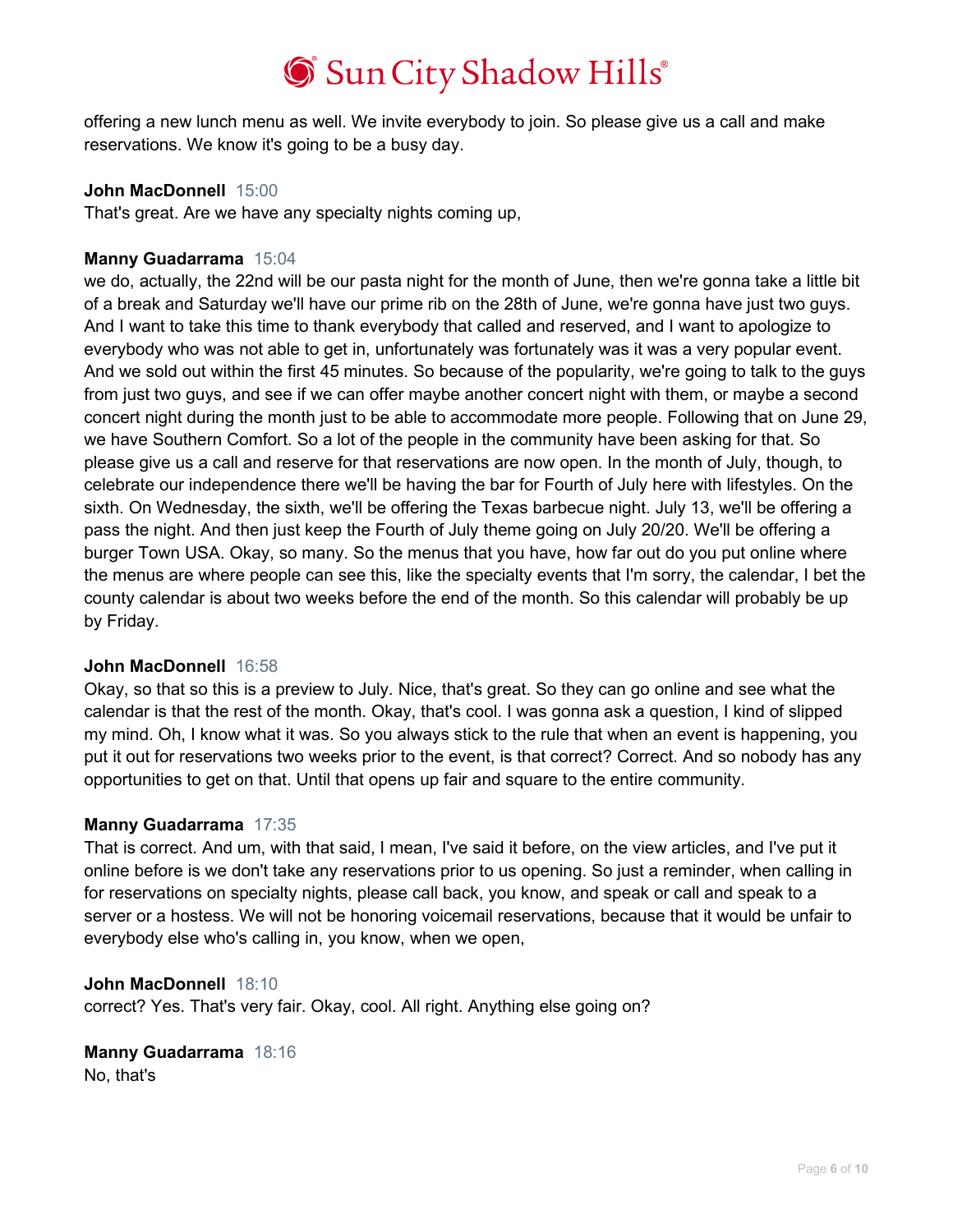offering a new lunch menu as well. We invite everybody to join. So please give us a call and make reservations. We know it's going to be a busy day.

## **John MacDonnell** 15:00

That's great. Are we have any specialty nights coming up,

## **Manny Guadarrama** 15:04

we do, actually, the 22nd will be our pasta night for the month of June, then we're gonna take a little bit of a break and Saturday we'll have our prime rib on the 28th of June, we're gonna have just two guys. And I want to take this time to thank everybody that called and reserved, and I want to apologize to everybody who was not able to get in, unfortunately was fortunately was it was a very popular event. And we sold out within the first 45 minutes. So because of the popularity, we're going to talk to the guys from just two guys, and see if we can offer maybe another concert night with them, or maybe a second concert night during the month just to be able to accommodate more people. Following that on June 29, we have Southern Comfort. So a lot of the people in the community have been asking for that. So please give us a call and reserve for that reservations are now open. In the month of July, though, to celebrate our independence there we'll be having the bar for Fourth of July here with lifestyles. On the sixth. On Wednesday, the sixth, we'll be offering the Texas barbecue night. July 13, we'll be offering a pass the night. And then just keep the Fourth of July theme going on July 20/20. We'll be offering a burger Town USA. Okay, so many. So the menus that you have, how far out do you put online where the menus are where people can see this, like the specialty events that I'm sorry, the calendar, I bet the county calendar is about two weeks before the end of the month. So this calendar will probably be up by Friday.

### **John MacDonnell** 16:58

Okay, so that so this is a preview to July. Nice, that's great. So they can go online and see what the calendar is that the rest of the month. Okay, that's cool. I was gonna ask a question, I kind of slipped my mind. Oh, I know what it was. So you always stick to the rule that when an event is happening, you put it out for reservations two weeks prior to the event, is that correct? Correct. And so nobody has any opportunities to get on that. Until that opens up fair and square to the entire community.

# **Manny Guadarrama** 17:35

That is correct. And um, with that said, I mean, I've said it before, on the view articles, and I've put it online before is we don't take any reservations prior to us opening. So just a reminder, when calling in for reservations on specialty nights, please call back, you know, and speak or call and speak to a server or a hostess. We will not be honoring voicemail reservations, because that it would be unfair to everybody else who's calling in, you know, when we open,

### **John MacDonnell** 18:10

correct? Yes. That's very fair. Okay, cool. All right. Anything else going on?

# **Manny Guadarrama** 18:16

No, that's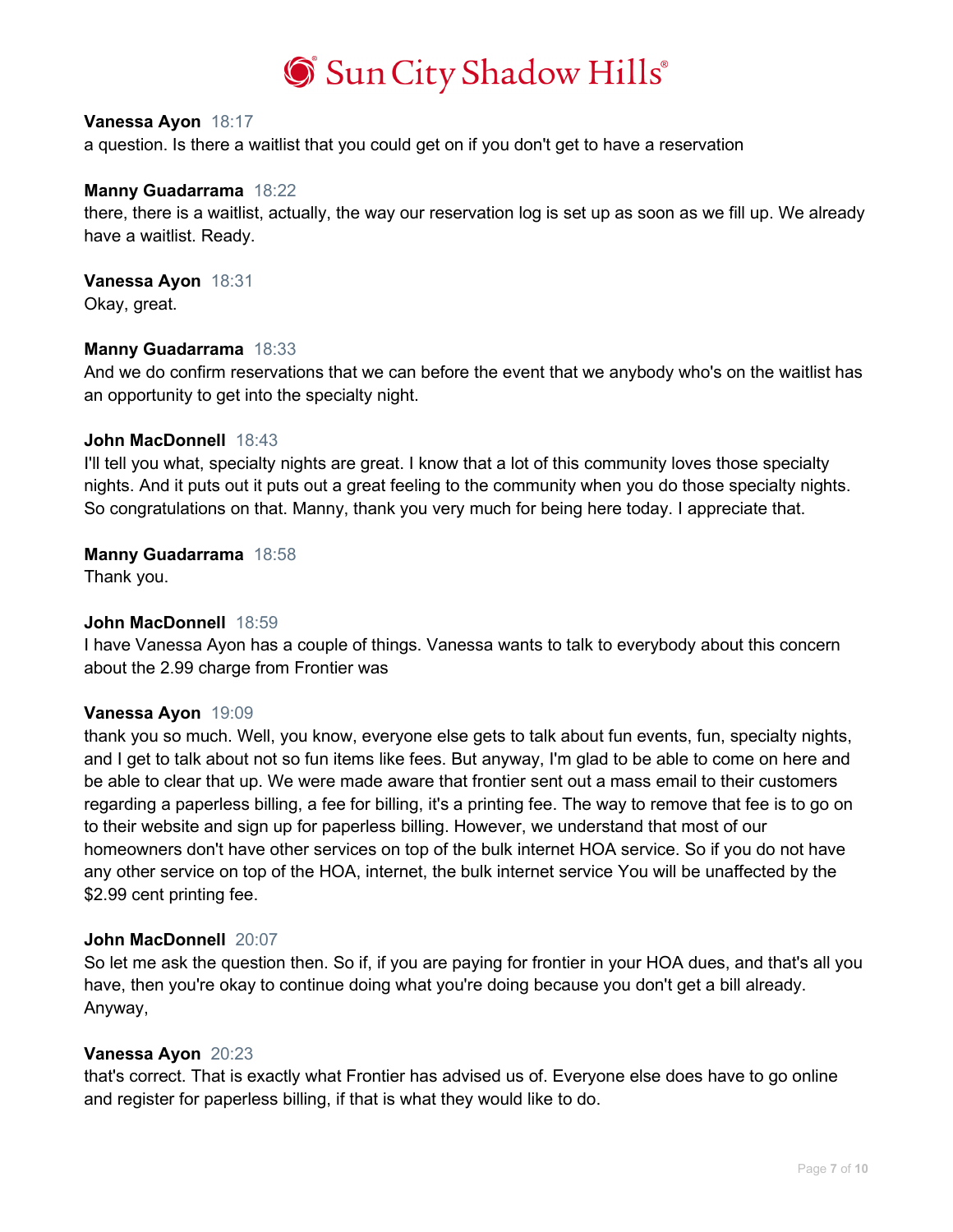

### **Vanessa Ayon** 18:17

a question. Is there a waitlist that you could get on if you don't get to have a reservation

### **Manny Guadarrama** 18:22

there, there is a waitlist, actually, the way our reservation log is set up as soon as we fill up. We already have a waitlist. Ready.

**Vanessa Ayon** 18:31

Okay, great.

### **Manny Guadarrama** 18:33

And we do confirm reservations that we can before the event that we anybody who's on the waitlist has an opportunity to get into the specialty night.

### **John MacDonnell** 18:43

I'll tell you what, specialty nights are great. I know that a lot of this community loves those specialty nights. And it puts out it puts out a great feeling to the community when you do those specialty nights. So congratulations on that. Manny, thank you very much for being here today. I appreciate that.

### **Manny Guadarrama** 18:58

Thank you.

### **John MacDonnell** 18:59

I have Vanessa Ayon has a couple of things. Vanessa wants to talk to everybody about this concern about the 2.99 charge from Frontier was

### **Vanessa Ayon** 19:09

thank you so much. Well, you know, everyone else gets to talk about fun events, fun, specialty nights, and I get to talk about not so fun items like fees. But anyway, I'm glad to be able to come on here and be able to clear that up. We were made aware that frontier sent out a mass email to their customers regarding a paperless billing, a fee for billing, it's a printing fee. The way to remove that fee is to go on to their website and sign up for paperless billing. However, we understand that most of our homeowners don't have other services on top of the bulk internet HOA service. So if you do not have any other service on top of the HOA, internet, the bulk internet service You will be unaffected by the \$2.99 cent printing fee.

### **John MacDonnell** 20:07

So let me ask the question then. So if, if you are paying for frontier in your HOA dues, and that's all you have, then you're okay to continue doing what you're doing because you don't get a bill already. Anyway,

### **Vanessa Ayon** 20:23

that's correct. That is exactly what Frontier has advised us of. Everyone else does have to go online and register for paperless billing, if that is what they would like to do.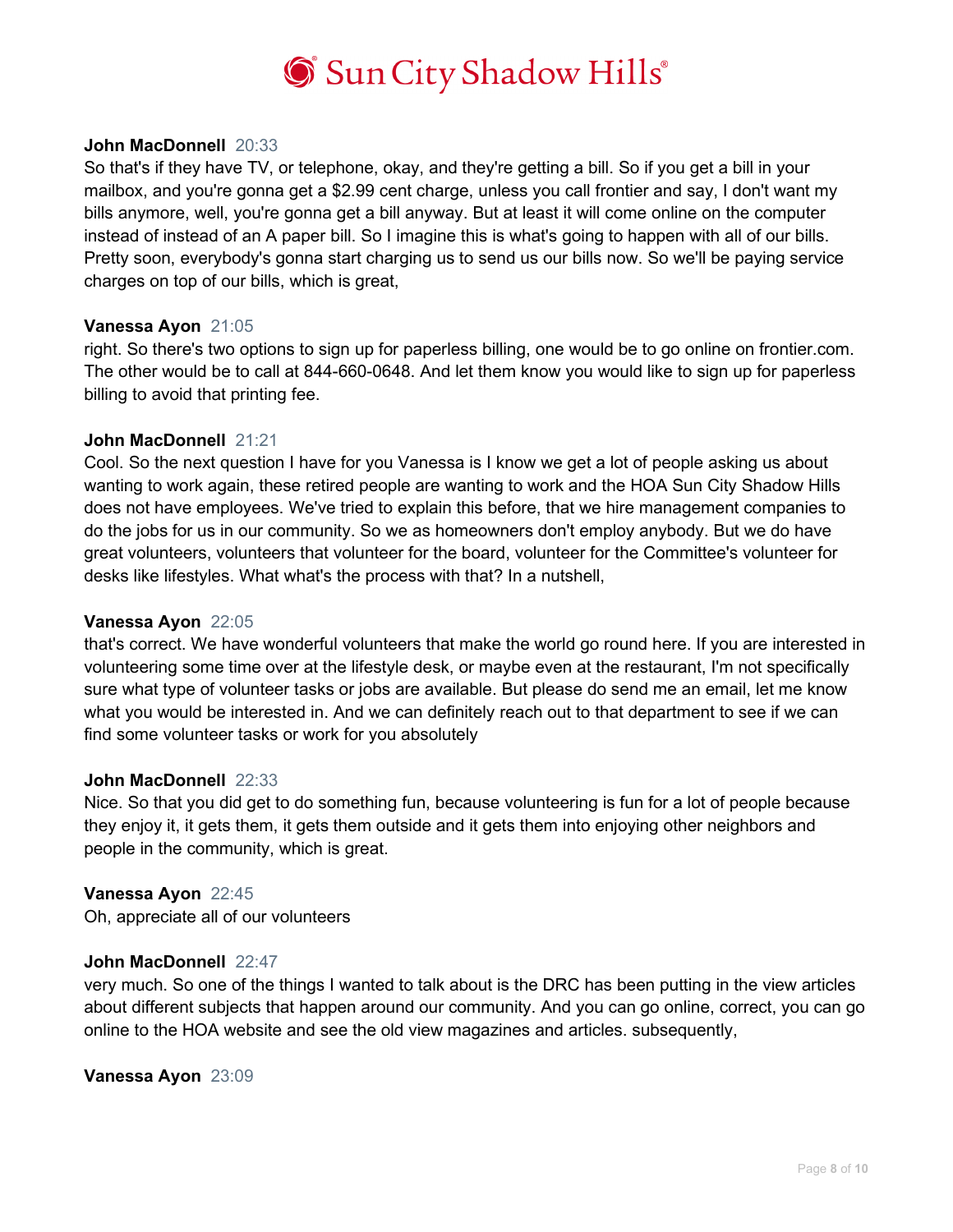

### **John MacDonnell** 20:33

So that's if they have TV, or telephone, okay, and they're getting a bill. So if you get a bill in your mailbox, and you're gonna get a \$2.99 cent charge, unless you call frontier and say, I don't want my bills anymore, well, you're gonna get a bill anyway. But at least it will come online on the computer instead of instead of an A paper bill. So I imagine this is what's going to happen with all of our bills. Pretty soon, everybody's gonna start charging us to send us our bills now. So we'll be paying service charges on top of our bills, which is great,

### **Vanessa Ayon** 21:05

right. So there's two options to sign up for paperless billing, one would be to go online on frontier.com. The other would be to call at 844-660-0648. And let them know you would like to sign up for paperless billing to avoid that printing fee.

### **John MacDonnell** 21:21

Cool. So the next question I have for you Vanessa is I know we get a lot of people asking us about wanting to work again, these retired people are wanting to work and the HOA Sun City Shadow Hills does not have employees. We've tried to explain this before, that we hire management companies to do the jobs for us in our community. So we as homeowners don't employ anybody. But we do have great volunteers, volunteers that volunteer for the board, volunteer for the Committee's volunteer for desks like lifestyles. What what's the process with that? In a nutshell,

### **Vanessa Ayon** 22:05

that's correct. We have wonderful volunteers that make the world go round here. If you are interested in volunteering some time over at the lifestyle desk, or maybe even at the restaurant, I'm not specifically sure what type of volunteer tasks or jobs are available. But please do send me an email, let me know what you would be interested in. And we can definitely reach out to that department to see if we can find some volunteer tasks or work for you absolutely

#### **John MacDonnell** 22:33

Nice. So that you did get to do something fun, because volunteering is fun for a lot of people because they enjoy it, it gets them, it gets them outside and it gets them into enjoying other neighbors and people in the community, which is great.

#### **Vanessa Ayon** 22:45

Oh, appreciate all of our volunteers

### **John MacDonnell** 22:47

very much. So one of the things I wanted to talk about is the DRC has been putting in the view articles about different subjects that happen around our community. And you can go online, correct, you can go online to the HOA website and see the old view magazines and articles. subsequently,

#### **Vanessa Ayon** 23:09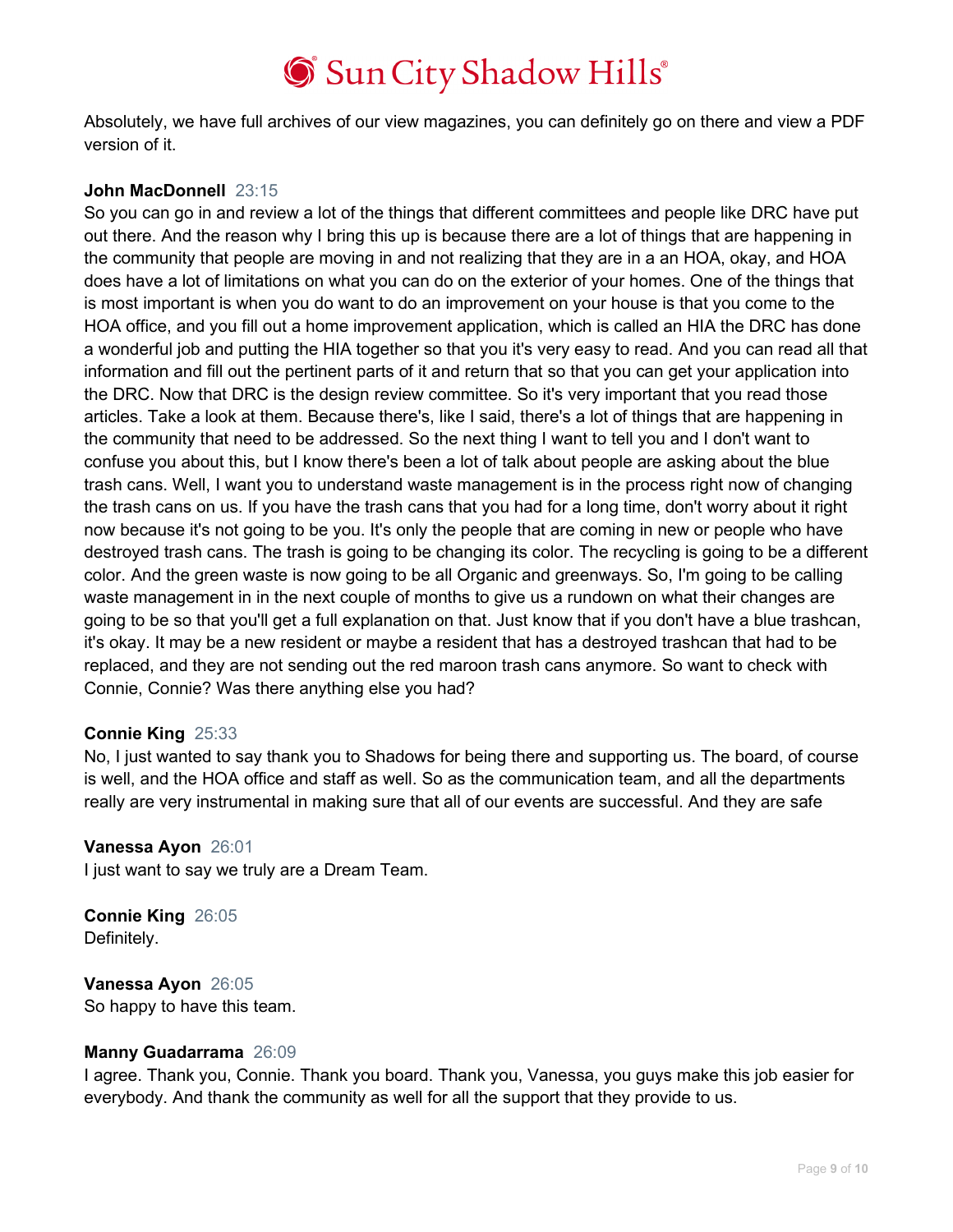Absolutely, we have full archives of our view magazines, you can definitely go on there and view a PDF version of it.

# **John MacDonnell** 23:15

So you can go in and review a lot of the things that different committees and people like DRC have put out there. And the reason why I bring this up is because there are a lot of things that are happening in the community that people are moving in and not realizing that they are in a an HOA, okay, and HOA does have a lot of limitations on what you can do on the exterior of your homes. One of the things that is most important is when you do want to do an improvement on your house is that you come to the HOA office, and you fill out a home improvement application, which is called an HIA the DRC has done a wonderful job and putting the HIA together so that you it's very easy to read. And you can read all that information and fill out the pertinent parts of it and return that so that you can get your application into the DRC. Now that DRC is the design review committee. So it's very important that you read those articles. Take a look at them. Because there's, like I said, there's a lot of things that are happening in the community that need to be addressed. So the next thing I want to tell you and I don't want to confuse you about this, but I know there's been a lot of talk about people are asking about the blue trash cans. Well, I want you to understand waste management is in the process right now of changing the trash cans on us. If you have the trash cans that you had for a long time, don't worry about it right now because it's not going to be you. It's only the people that are coming in new or people who have destroyed trash cans. The trash is going to be changing its color. The recycling is going to be a different color. And the green waste is now going to be all Organic and greenways. So, I'm going to be calling waste management in in the next couple of months to give us a rundown on what their changes are going to be so that you'll get a full explanation on that. Just know that if you don't have a blue trashcan, it's okay. It may be a new resident or maybe a resident that has a destroyed trashcan that had to be replaced, and they are not sending out the red maroon trash cans anymore. So want to check with Connie, Connie? Was there anything else you had?

# **Connie King** 25:33

No, I just wanted to say thank you to Shadows for being there and supporting us. The board, of course is well, and the HOA office and staff as well. So as the communication team, and all the departments really are very instrumental in making sure that all of our events are successful. And they are safe

### **Vanessa Ayon** 26:01

I just want to say we truly are a Dream Team.

**Connie King** 26:05 Definitely.

**Vanessa Ayon** 26:05 So happy to have this team.

# **Manny Guadarrama** 26:09

I agree. Thank you, Connie. Thank you board. Thank you, Vanessa, you guys make this job easier for everybody. And thank the community as well for all the support that they provide to us.